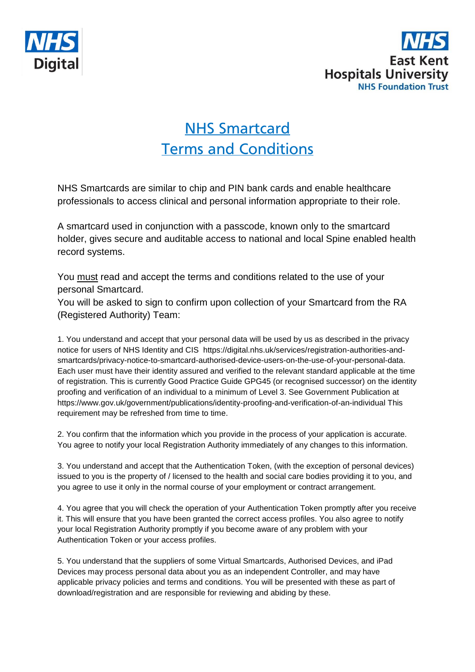



## NHS Smartcard Terms and Conditions

NHS Smartcards are similar to chip and PIN bank cards and enable healthcare professionals to access clinical and personal information appropriate to their role.

A smartcard used in conjunction with a passcode, known only to the smartcard holder, gives secure and auditable access to national and local Spine enabled health record systems.

You must read and accept the terms and conditions related to the use of your personal Smartcard.

You will be asked to sign to confirm upon collection of your Smartcard from the RA (Registered Authority) Team:

1. You understand and accept that your personal data will be used by us as described in the privacy notice for users of NHS Identity and CIS https://digital.nhs.uk/services/registration-authorities-andsmartcards/privacy-notice-to-smartcard-authorised-device-users-on-the-use-of-your-personal-data. Each user must have their identity assured and verified to the relevant standard applicable at the time of registration. This is currently Good Practice Guide GPG45 (or recognised successor) on the identity proofing and verification of an individual to a minimum of Level 3. See Government Publication at https://www.gov.uk/government/publications/identity-proofing-and-verification-of-an-individual This requirement may be refreshed from time to time.

2. You confirm that the information which you provide in the process of your application is accurate. You agree to notify your local Registration Authority immediately of any changes to this information.

3. You understand and accept that the Authentication Token, (with the exception of personal devices) issued to you is the property of / licensed to the health and social care bodies providing it to you, and you agree to use it only in the normal course of your employment or contract arrangement.

4. You agree that you will check the operation of your Authentication Token promptly after you receive it. This will ensure that you have been granted the correct access profiles. You also agree to notify your local Registration Authority promptly if you become aware of any problem with your Authentication Token or your access profiles.

5. You understand that the suppliers of some Virtual Smartcards, Authorised Devices, and iPad Devices may process personal data about you as an independent Controller, and may have applicable privacy policies and terms and conditions. You will be presented with these as part of download/registration and are responsible for reviewing and abiding by these.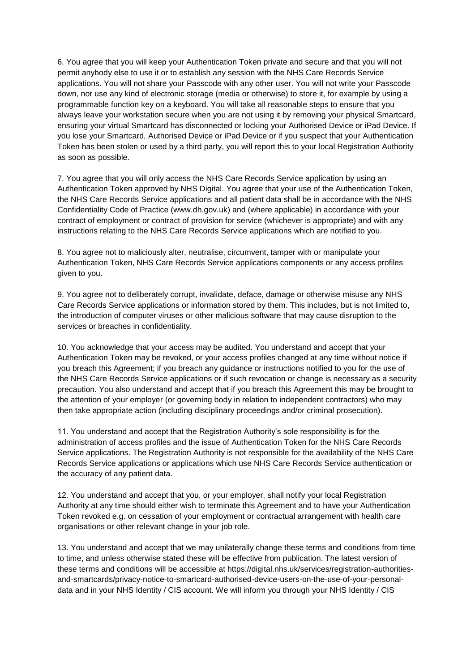6. You agree that you will keep your Authentication Token private and secure and that you will not permit anybody else to use it or to establish any session with the NHS Care Records Service applications. You will not share your Passcode with any other user. You will not write your Passcode down, nor use any kind of electronic storage (media or otherwise) to store it, for example by using a programmable function key on a keyboard. You will take all reasonable steps to ensure that you always leave your workstation secure when you are not using it by removing your physical Smartcard, ensuring your virtual Smartcard has disconnected or locking your Authorised Device or iPad Device. If you lose your Smartcard, Authorised Device or iPad Device or if you suspect that your Authentication Token has been stolen or used by a third party, you will report this to your local Registration Authority as soon as possible.

7. You agree that you will only access the NHS Care Records Service application by using an Authentication Token approved by NHS Digital. You agree that your use of the Authentication Token, the NHS Care Records Service applications and all patient data shall be in accordance with the NHS Confidentiality Code of Practice (www.dh.gov.uk) and (where applicable) in accordance with your contract of employment or contract of provision for service (whichever is appropriate) and with any instructions relating to the NHS Care Records Service applications which are notified to you.

8. You agree not to maliciously alter, neutralise, circumvent, tamper with or manipulate your Authentication Token, NHS Care Records Service applications components or any access profiles given to you.

9. You agree not to deliberately corrupt, invalidate, deface, damage or otherwise misuse any NHS Care Records Service applications or information stored by them. This includes, but is not limited to, the introduction of computer viruses or other malicious software that may cause disruption to the services or breaches in confidentiality.

10. You acknowledge that your access may be audited. You understand and accept that your Authentication Token may be revoked, or your access profiles changed at any time without notice if you breach this Agreement; if you breach any guidance or instructions notified to you for the use of the NHS Care Records Service applications or if such revocation or change is necessary as a security precaution. You also understand and accept that if you breach this Agreement this may be brought to the attention of your employer (or governing body in relation to independent contractors) who may then take appropriate action (including disciplinary proceedings and/or criminal prosecution).

11. You understand and accept that the Registration Authority's sole responsibility is for the administration of access profiles and the issue of Authentication Token for the NHS Care Records Service applications. The Registration Authority is not responsible for the availability of the NHS Care Records Service applications or applications which use NHS Care Records Service authentication or the accuracy of any patient data.

12. You understand and accept that you, or your employer, shall notify your local Registration Authority at any time should either wish to terminate this Agreement and to have your Authentication Token revoked e.g. on cessation of your employment or contractual arrangement with health care organisations or other relevant change in your job role.

13. You understand and accept that we may unilaterally change these terms and conditions from time to time, and unless otherwise stated these will be effective from publication. The latest version of these terms and conditions will be accessible at https://digital.nhs.uk/services/registration-authoritiesand-smartcards/privacy-notice-to-smartcard-authorised-device-users-on-the-use-of-your-personaldata and in your NHS Identity / CIS account. We will inform you through your NHS Identity / CIS